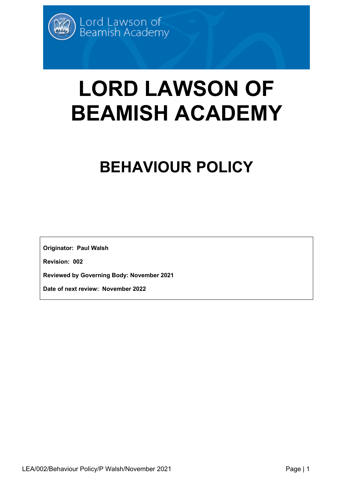# **LORD LAWSON OF BEAMISH ACADEMY**

# **BEHAVIOUR POLICY**

**Originator: Paul Walsh**

**Revision: 002**

**Reviewed by Governing Body: November 2021**

**Date of next review: November 2022**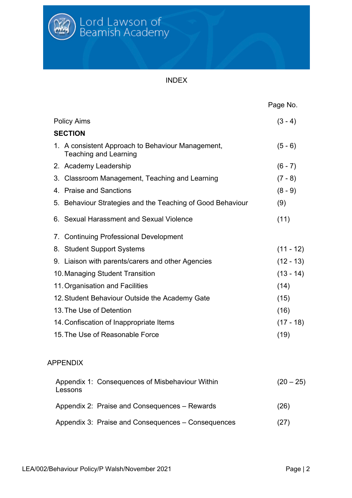

INDEX

|                                                                                   | Page No.    |
|-----------------------------------------------------------------------------------|-------------|
| <b>Policy Aims</b>                                                                | $(3 - 4)$   |
| <b>SECTION</b>                                                                    |             |
| 1. A consistent Approach to Behaviour Management,<br><b>Teaching and Learning</b> | $(5 - 6)$   |
| 2. Academy Leadership                                                             | $(6 - 7)$   |
| Classroom Management, Teaching and Learning<br>3.                                 | $(7 - 8)$   |
| 4. Praise and Sanctions                                                           | $(8 - 9)$   |
| 5. Behaviour Strategies and the Teaching of Good Behaviour                        | (9)         |
| 6. Sexual Harassment and Sexual Violence                                          | (11)        |
| <b>Continuing Professional Development</b><br>$\mathcal{L}$                       |             |
| 8. Student Support Systems                                                        | $(11 - 12)$ |
| 9. Liaison with parents/carers and other Agencies                                 | $(12 - 13)$ |
| 10. Managing Student Transition                                                   | $(13 - 14)$ |
| 11. Organisation and Facilities                                                   | (14)        |
| 12. Student Behaviour Outside the Academy Gate                                    | (15)        |
| 13. The Use of Detention                                                          | (16)        |
| 14. Confiscation of Inappropriate Items                                           | $(17 - 18)$ |
| 15. The Use of Reasonable Force                                                   | (19)        |
| <b>APPENDIX</b>                                                                   |             |
| Appendix 1: Consequences of Misbehaviour Within<br>Lessons                        | $(20 - 25)$ |
| Appendix 2: Praise and Consequences – Rewards                                     | (26)        |
| Appendix 3: Praise and Consequences – Consequences                                | (27)        |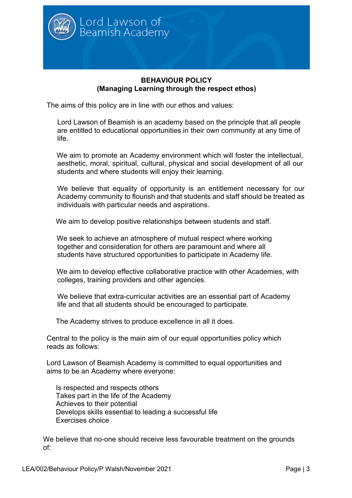

#### **BEHAVIOUR POLICY (Managing Learning through the respect ethos)**

The aims of this policy are in line with our ethos and values:

 Lord Lawson of Beamish is an academy based on the principle that all people are entitled to educational opportunities in their own community at any time of life.

 We aim to promote an Academy environment which will foster the intellectual, aesthetic, moral, spiritual, cultural, physical and social development of all our students and where students will enjoy their learning.

We believe that equality of opportunity is an entitlement necessary for our Academy community to flourish and that students and staff should be treated as individuals with particular needs and aspirations.

We aim to develop positive relationships between students and staff.

We seek to achieve an atmosphere of mutual respect where working together and consideration for others are paramount and where all students have structured opportunities to participate in Academy life.

 We aim to develop effective collaborative practice with other Academies, with colleges, training providers and other agencies.

 We believe that extra-curricular activities are an essential part of Academy life and that all students should be encouraged to participate.

The Academy strives to produce excellence in all it does.

Central to the policy is the main aim of our equal opportunities policy which reads as follows:

Lord Lawson of Beamish Academy is committed to equal opportunities and aims to be an Academy where everyone:

 Is respected and respects others Takes part in the life of the Academy Achieves to their potential Develops skills essential to leading a successful life Exercises choice

We believe that no-one should receive less favourable treatment on the grounds of: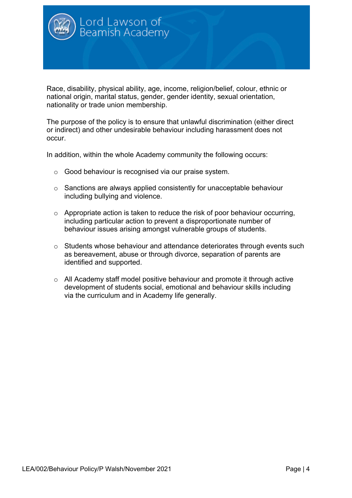

Race, disability, physical ability, age, income, religion/belief, colour, ethnic or national origin, marital status, gender, gender identity, sexual orientation, nationality or trade union membership.

The purpose of the policy is to ensure that unlawful discrimination (either direct or indirect) and other undesirable behaviour including harassment does not occur.

In addition, within the whole Academy community the following occurs:

- o Good behaviour is recognised via our praise system.
- o Sanctions are always applied consistently for unacceptable behaviour including bullying and violence.
- $\circ$  Appropriate action is taken to reduce the risk of poor behaviour occurring, including particular action to prevent a disproportionate number of behaviour issues arising amongst vulnerable groups of students.
- o Students whose behaviour and attendance deteriorates through events such as bereavement, abuse or through divorce, separation of parents are identified and supported.
- o All Academy staff model positive behaviour and promote it through active development of students social, emotional and behaviour skills including via the curriculum and in Academy life generally.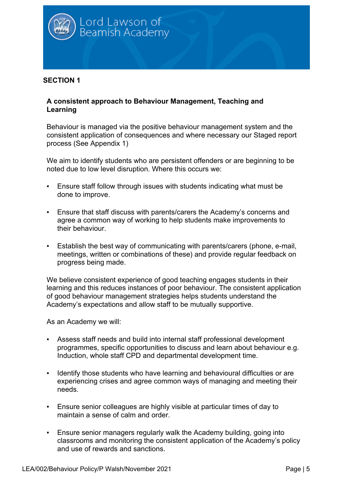

#### **A consistent approach to Behaviour Management, Teaching and Learning**

Behaviour is managed via the positive behaviour management system and the consistent application of consequences and where necessary our Staged report process (See Appendix 1)

We aim to identify students who are persistent offenders or are beginning to be noted due to low level disruption. Where this occurs we:

- Ensure staff follow through issues with students indicating what must be done to improve.
- Ensure that staff discuss with parents/carers the Academy's concerns and agree a common way of working to help students make improvements to their behaviour.
- Establish the best way of communicating with parents/carers (phone, e-mail, meetings, written or combinations of these) and provide regular feedback on progress being made.

We believe consistent experience of good teaching engages students in their learning and this reduces instances of poor behaviour. The consistent application of good behaviour management strategies helps students understand the Academy's expectations and allow staff to be mutually supportive.

- Assess staff needs and build into internal staff professional development programmes, specific opportunities to discuss and learn about behaviour e.g. Induction, whole staff CPD and departmental development time.
- Identify those students who have learning and behavioural difficulties or are experiencing crises and agree common ways of managing and meeting their needs.
- Ensure senior colleagues are highly visible at particular times of day to maintain a sense of calm and order.
- **Ensure senior managers regularly walk the Academy building, going into** classrooms and monitoring the consistent application of the Academy's policy and use of rewards and sanctions.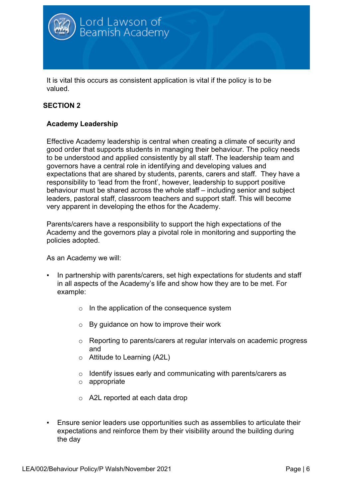

It is vital this occurs as consistent application is vital if the policy is to be valued.

# **SECTION 2**

#### **Academy Leadership**

Effective Academy leadership is central when creating a climate of security and good order that supports students in managing their behaviour. The policy needs to be understood and applied consistently by all staff. The leadership team and governors have a central role in identifying and developing values and expectations that are shared by students, parents, carers and staff. They have a responsibility to 'lead from the front', however, leadership to support positive behaviour must be shared across the whole staff – including senior and subject leaders, pastoral staff, classroom teachers and support staff. This will become very apparent in developing the ethos for the Academy.

Parents/carers have a responsibility to support the high expectations of the Academy and the governors play a pivotal role in monitoring and supporting the policies adopted.

- In partnership with parents/carers, set high expectations for students and staff in all aspects of the Academy's life and show how they are to be met. For example:
	- o In the application of the consequence system
	- o By guidance on how to improve their work
	- o Reporting to parents/carers at regular intervals on academic progress and
	- o Attitude to Learning (A2L)
	- o Identify issues early and communicating with parents/carers as
	- o appropriate
	- o A2L reported at each data drop
- Ensure senior leaders use opportunities such as assemblies to articulate their expectations and reinforce them by their visibility around the building during the day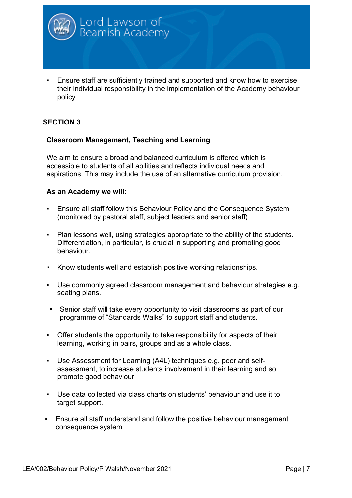

Ensure staff are sufficiently trained and supported and know how to exercise their individual responsibility in the implementation of the Academy behaviour policy

#### **SECTION 3**

#### **Classroom Management, Teaching and Learning**

We aim to ensure a broad and balanced curriculum is offered which is accessible to students of all abilities and reflects individual needs and aspirations. This may include the use of an alternative curriculum provision.

- Ensure all staff follow this Behaviour Policy and the Consequence System (monitored by pastoral staff, subject leaders and senior staff)
- Plan lessons well, using strategies appropriate to the ability of the students. Differentiation, in particular, is crucial in supporting and promoting good behaviour.
- Know students well and establish positive working relationships.
- Use commonly agreed classroom management and behaviour strategies e.g. seating plans.
- Senior staff will take every opportunity to visit classrooms as part of our programme of "Standards Walks" to support staff and students.
- Offer students the opportunity to take responsibility for aspects of their learning, working in pairs, groups and as a whole class.
- Use Assessment for Learning (A4L) techniques e.g. peer and selfassessment, to increase students involvement in their learning and so promote good behaviour
- Use data collected via class charts on students' behaviour and use it to target support.
- Ensure all staff understand and follow the positive behaviour management consequence system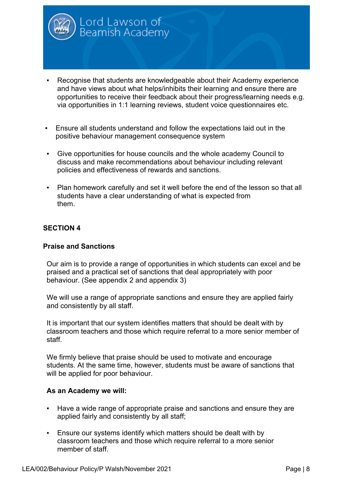

Ensure all students understand and follow the expectations laid out in the positive behaviour management consequence system

Lord Lawson of<br>Beamish Academy

- Give opportunities for house councils and the whole academy Council to discuss and make recommendations about behaviour including relevant policies and effectiveness of rewards and sanctions.
- Plan homework carefully and set it well before the end of the lesson so that all students have a clear understanding of what is expected from them.

#### **SECTION 4**

#### **Praise and Sanctions**

Our aim is to provide a range of opportunities in which students can excel and be praised and a practical set of sanctions that deal appropriately with poor behaviour. (See appendix 2 and appendix 3)

We will use a range of appropriate sanctions and ensure they are applied fairly and consistently by all staff.

It is important that our system identifies matters that should be dealt with by classroom teachers and those which require referral to a more senior member of staff.

We firmly believe that praise should be used to motivate and encourage students. At the same time, however, students must be aware of sanctions that will be applied for poor behaviour.

- Have a wide range of appropriate praise and sanctions and ensure they are applied fairly and consistently by all staff;
- Ensure our systems identify which matters should be dealt with by classroom teachers and those which require referral to a more senior member of staff.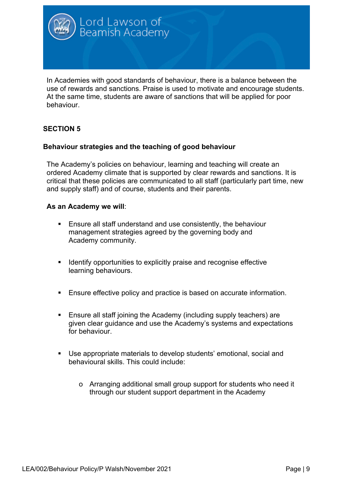

In Academies with good standards of behaviour, there is a balance between the use of rewards and sanctions. Praise is used to motivate and encourage students. At the same time, students are aware of sanctions that will be applied for poor behaviour.

# **SECTION 5**

#### **Behaviour strategies and the teaching of good behaviour**

The Academy's policies on behaviour, learning and teaching will create an ordered Academy climate that is supported by clear rewards and sanctions. It is critical that these policies are communicated to all staff (particularly part time, new and supply staff) and of course, students and their parents.

- Ensure all staff understand and use consistently, the behaviour management strategies agreed by the governing body and Academy community.
- Identify opportunities to explicitly praise and recognise effective learning behaviours.
- Ensure effective policy and practice is based on accurate information.
- Ensure all staff joining the Academy (including supply teachers) are given clear guidance and use the Academy's systems and expectations for behaviour.
- Use appropriate materials to develop students' emotional, social and behavioural skills. This could include:
	- o Arranging additional small group support for students who need it through our student support department in the Academy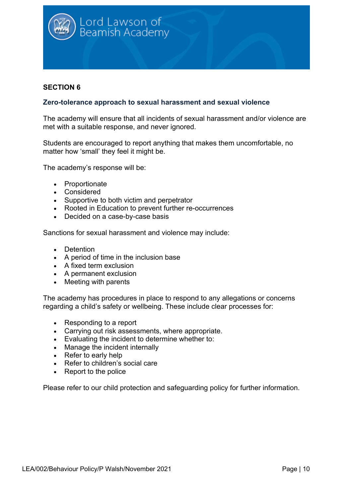

#### **Zero-tolerance approach to sexual harassment and sexual violence**

The academy will ensure that all incidents of sexual harassment and/or violence are met with a suitable response, and never ignored.

Students are encouraged to report anything that makes them uncomfortable, no matter how 'small' they feel it might be.

The academy's response will be:

- Proportionate
- Considered
- Supportive to both victim and perpetrator
- Rooted in Education to prevent further re-occurrences
- Decided on a case-by-case basis

Sanctions for sexual harassment and violence may include:

- Detention
- A period of time in the inclusion base
- A fixed term exclusion
- A permanent exclusion
- Meeting with parents

The academy has procedures in place to respond to any allegations or concerns regarding a child's safety or wellbeing. These include clear processes for:

- Responding to a report
- Carrying out risk assessments, where appropriate.
- Evaluating the incident to determine whether to:
- Manage the incident internally
- Refer to early help
- Refer to children's social care
- Report to the police

Please refer to our child protection and safeguarding policy for further information.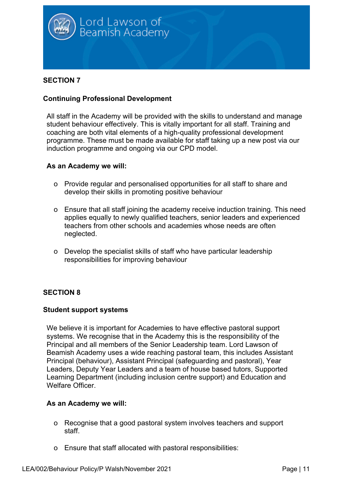

#### **Continuing Professional Development**

All staff in the Academy will be provided with the skills to understand and manage student behaviour effectively. This is vitally important for all staff. Training and coaching are both vital elements of a high-quality professional development programme. These must be made available for staff taking up a new post via our induction programme and ongoing via our CPD model.

#### **As an Academy we will:**

- o Provide regular and personalised opportunities for all staff to share and develop their skills in promoting positive behaviour
- o Ensure that all staff joining the academy receive induction training. This need applies equally to newly qualified teachers, senior leaders and experienced teachers from other schools and academies whose needs are often neglected.
- o Develop the specialist skills of staff who have particular leadership responsibilities for improving behaviour

# **SECTION 8**

#### **Student support systems**

We believe it is important for Academies to have effective pastoral support systems. We recognise that in the Academy this is the responsibility of the Principal and all members of the Senior Leadership team. Lord Lawson of Beamish Academy uses a wide reaching pastoral team, this includes Assistant Principal (behaviour), Assistant Principal (safeguarding and pastoral), Year Leaders, Deputy Year Leaders and a team of house based tutors, Supported Learning Department (including inclusion centre support) and Education and Welfare Officer.

- o Recognise that a good pastoral system involves teachers and support staff.
- o Ensure that staff allocated with pastoral responsibilities: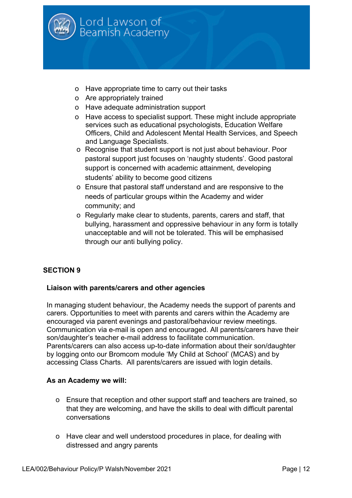

- o Have appropriate time to carry out their tasks
- o Are appropriately trained
- o Have adequate administration support
- o Have access to specialist support. These might include appropriate services such as educational psychologists, Education Welfare Officers, Child and Adolescent Mental Health Services, and Speech and Language Specialists.
- o Recognise that student support is not just about behaviour. Poor pastoral support just focuses on 'naughty students'. Good pastoral support is concerned with academic attainment, developing students' ability to become good citizens
- o Ensure that pastoral staff understand and are responsive to the needs of particular groups within the Academy and wider community; and
- o Regularly make clear to students, parents, carers and staff, that bullying, harassment and oppressive behaviour in any form is totally unacceptable and will not be tolerated. This will be emphasised through our anti bullying policy.

#### **Liaison with parents/carers and other agencies**

In managing student behaviour, the Academy needs the support of parents and carers. Opportunities to meet with parents and carers within the Academy are encouraged via parent evenings and pastoral/behaviour review meetings. Communication via e-mail is open and encouraged. All parents/carers have their son/daughter's teacher e-mail address to facilitate communication. Parents/carers can also access up-to-date information about their son/daughter by logging onto our Bromcom module 'My Child at School' (MCAS) and by accessing Class Charts. All parents/carers are issued with login details.

- o Ensure that reception and other support staff and teachers are trained, so that they are welcoming, and have the skills to deal with difficult parental conversations
- o Have clear and well understood procedures in place, for dealing with distressed and angry parents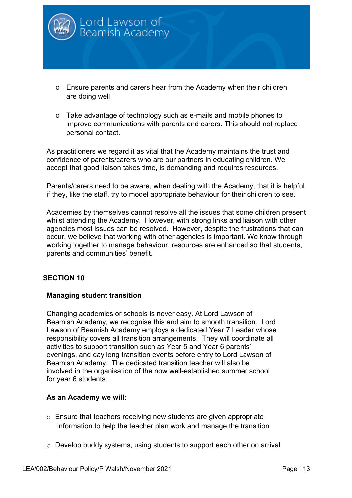

- o Ensure parents and carers hear from the Academy when their children are doing well
- o Take advantage of technology such as e-mails and mobile phones to improve communications with parents and carers. This should not replace personal contact.

As practitioners we regard it as vital that the Academy maintains the trust and confidence of parents/carers who are our partners in educating children. We accept that good liaison takes time, is demanding and requires resources.

Parents/carers need to be aware, when dealing with the Academy, that it is helpful if they, like the staff, try to model appropriate behaviour for their children to see.

Academies by themselves cannot resolve all the issues that some children present whilst attending the Academy. However, with strong links and liaison with other agencies most issues can be resolved. However, despite the frustrations that can occur, we believe that working with other agencies is important. We know through working together to manage behaviour, resources are enhanced so that students, parents and communities' benefit.

#### **SECTION 10**

#### **Managing student transition**

Changing academies or schools is never easy. At Lord Lawson of Beamish Academy, we recognise this and aim to smooth transition. Lord Lawson of Beamish Academy employs a dedicated Year 7 Leader whose responsibility covers all transition arrangements. They will coordinate all activities to support transition such as Year 5 and Year 6 parents' evenings, and day long transition events before entry to Lord Lawson of Beamish Academy. The dedicated transition teacher will also be involved in the organisation of the now well-established summer school for year 6 students.

- o Ensure that teachers receiving new students are given appropriate information to help the teacher plan work and manage the transition
- o Develop buddy systems, using students to support each other on arrival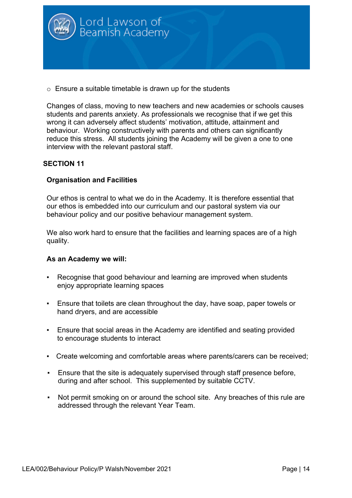

 $\circ$  Ensure a suitable timetable is drawn up for the students

Changes of class, moving to new teachers and new academies or schools causes students and parents anxiety. As professionals we recognise that if we get this wrong it can adversely affect students' motivation, attitude, attainment and behaviour. Working constructively with parents and others can significantly reduce this stress. All students joining the Academy will be given a one to one interview with the relevant pastoral staff.

#### **SECTION 11**

#### **Organisation and Facilities**

Our ethos is central to what we do in the Academy. It is therefore essential that our ethos is embedded into our curriculum and our pastoral system via our behaviour policy and our positive behaviour management system.

We also work hard to ensure that the facilities and learning spaces are of a high quality.

- Recognise that good behaviour and learning are improved when students enjoy appropriate learning spaces
- Ensure that toilets are clean throughout the day, have soap, paper towels or hand dryers, and are accessible
- **Ensure that social areas in the Academy are identified and seating provided** to encourage students to interact
- Create welcoming and comfortable areas where parents/carers can be received;
- **Ensure that the site is adequately supervised through staff presence before,** during and after school. This supplemented by suitable CCTV.
- Not permit smoking on or around the school site. Any breaches of this rule are addressed through the relevant Year Team.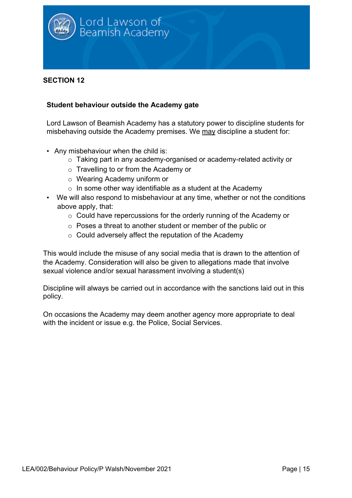

#### **Student behaviour outside the Academy gate**

Lord Lawson of Beamish Academy has a statutory power to discipline students for misbehaving outside the Academy premises. We may discipline a student for:

- Any misbehaviour when the child is:
	- o Taking part in any academy-organised or academy-related activity or
	- o Travelling to or from the Academy or
	- o Wearing Academy uniform or
	- $\circ$  In some other way identifiable as a student at the Academy
- We will also respond to misbehaviour at any time, whether or not the conditions above apply, that:
	- o Could have repercussions for the orderly running of the Academy or
	- o Poses a threat to another student or member of the public or
	- o Could adversely affect the reputation of the Academy

This would include the misuse of any social media that is drawn to the attention of the Academy. Consideration will also be given to allegations made that involve sexual violence and/or sexual harassment involving a student(s)

Discipline will always be carried out in accordance with the sanctions laid out in this policy.

On occasions the Academy may deem another agency more appropriate to deal with the incident or issue e.g. the Police, Social Services.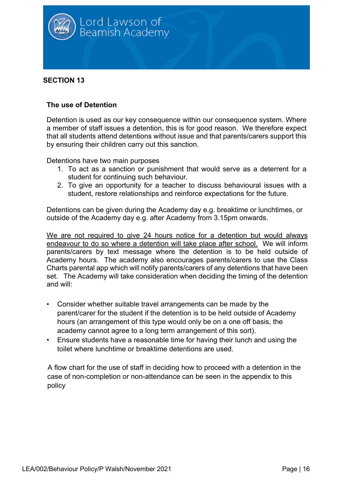

#### **The use of Detention**

Detention is used as our key consequence within our consequence system. Where a member of staff issues a detention, this is for good reason. We therefore expect that all students attend detentions without issue and that parents/carers support this by ensuring their children carry out this sanction.

Detentions have two main purposes

- 1. To act as a sanction or punishment that would serve as a deterrent for a student for continuing such behaviour.
- 2. To give an opportunity for a teacher to discuss behavioural issues with a student, restore relationships and reinforce expectations for the future.

Detentions can be given during the Academy day e.g. breaktime or lunchtimes, or outside of the Academy day e.g. after Academy from 3.15pm onwards.

We are not required to give 24 hours notice for a detention but would always endeavour to do so where a detention will take place after school. We will inform parents/carers by text message where the detention is to be held outside of Academy hours. The academy also encourages parents/carers to use the Class Charts parental app which will notify parents/carers of any detentions that have been set. The Academy will take consideration when deciding the timing of the detention and will:

- Consider whether suitable travel arrangements can be made by the parent/carer for the student if the detention is to be held outside of Academy hours (an arrangement of this type would only be on a one off basis, the academy cannot agree to a long term arrangement of this sort).
- Ensure students have a reasonable time for having their lunch and using the toilet where lunchtime or breaktime detentions are used.

A flow chart for the use of staff in deciding how to proceed with a detention in the case of non-completion or non-attendance can be seen in the appendix to this policy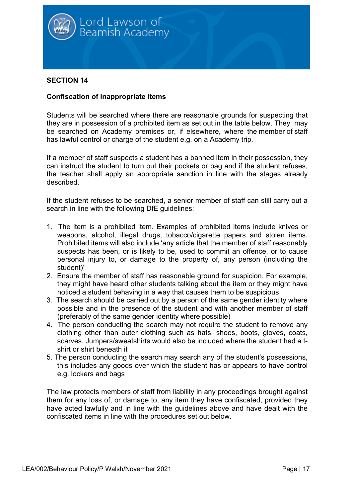

#### **Confiscation of inappropriate items**

Students will be searched where there are reasonable grounds for suspecting that they are in possession of a prohibited item as set out in the table below. They may be searched on Academy premises or, if elsewhere, where the member of staff has lawful control or charge of the student e.g. on a Academy trip.

If a member of staff suspects a student has a banned item in their possession, they can instruct the student to turn out their pockets or bag and if the student refuses, the teacher shall apply an appropriate sanction in line with the stages already described.

If the student refuses to be searched, a senior member of staff can still carry out a search in line with the following DfE guidelines:

- 1. The item is a prohibited item. Examples of prohibited items include knives or weapons, alcohol, illegal drugs, tobacco/cigarette papers and stolen items. Prohibited items will also include 'any article that the member of staff reasonably suspects has been, or is likely to be, used to commit an offence, or to cause personal injury to, or damage to the property of, any person (including the student)'
- 2. Ensure the member of staff has reasonable ground for suspicion. For example, they might have heard other students talking about the item or they might have noticed a student behaving in a way that causes them to be suspicious
- 3. The search should be carried out by a person of the same gender identity where possible and in the presence of the student and with another member of staff (preferably of the same gender identity where possible)
- 4. The person conducting the search may not require the student to remove any clothing other than outer clothing such as hats, shoes, boots, gloves, coats, scarves. Jumpers/sweatshirts would also be included where the student had a tshirt or shirt beneath it
- 5. The person conducting the search may search any of the student's possessions, this includes any goods over which the student has or appears to have control e.g. lockers and bags

The law protects members of staff from liability in any proceedings brought against them for any loss of, or damage to, any item they have confiscated, provided they have acted lawfully and in line with the guidelines above and have dealt with the confiscated items in line with the procedures set out below.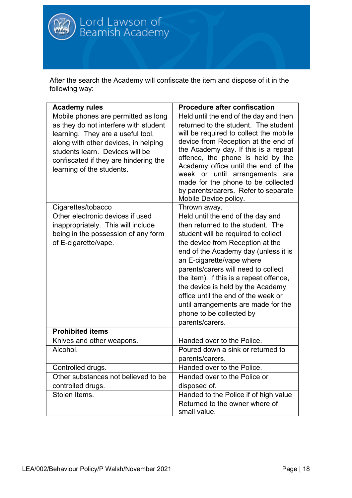

After the search the Academy will confiscate the item and dispose of it in the following way:

| <b>Academy rules</b>                                                                                                                                                                                                                                               | <b>Procedure after confiscation</b>                                                                                                                                                                                                                                                                                                                                                                                                                                        |
|--------------------------------------------------------------------------------------------------------------------------------------------------------------------------------------------------------------------------------------------------------------------|----------------------------------------------------------------------------------------------------------------------------------------------------------------------------------------------------------------------------------------------------------------------------------------------------------------------------------------------------------------------------------------------------------------------------------------------------------------------------|
| Mobile phones are permitted as long<br>as they do not interfere with student<br>learning. They are a useful tool,<br>along with other devices, in helping<br>students learn. Devices will be<br>confiscated if they are hindering the<br>learning of the students. | Held until the end of the day and then<br>returned to the student. The student<br>will be required to collect the mobile<br>device from Reception at the end of<br>the Academy day. If this is a repeat<br>offence, the phone is held by the<br>Academy office until the end of the<br>week or until arrangements are<br>made for the phone to be collected<br>by parents/carers. Refer to separate<br>Mobile Device policy.                                               |
| Cigarettes/tobacco                                                                                                                                                                                                                                                 | Thrown away.                                                                                                                                                                                                                                                                                                                                                                                                                                                               |
| Other electronic devices if used<br>inappropriately. This will include<br>being in the possession of any form<br>of E-cigarette/vape.                                                                                                                              | Held until the end of the day and<br>then returned to the student. The<br>student will be required to collect<br>the device from Reception at the<br>end of the Academy day (unless it is<br>an E-cigarette/vape where<br>parents/carers will need to collect<br>the item). If this is a repeat offence,<br>the device is held by the Academy<br>office until the end of the week or<br>until arrangements are made for the<br>phone to be collected by<br>parents/carers. |
| <b>Prohibited items</b>                                                                                                                                                                                                                                            |                                                                                                                                                                                                                                                                                                                                                                                                                                                                            |
| Knives and other weapons.                                                                                                                                                                                                                                          | Handed over to the Police.                                                                                                                                                                                                                                                                                                                                                                                                                                                 |
| Alcohol.                                                                                                                                                                                                                                                           | Poured down a sink or returned to<br>parents/carers.                                                                                                                                                                                                                                                                                                                                                                                                                       |
| Controlled drugs.                                                                                                                                                                                                                                                  | Handed over to the Police.                                                                                                                                                                                                                                                                                                                                                                                                                                                 |
| Other substances not believed to be<br>controlled drugs.                                                                                                                                                                                                           | Handed over to the Police or<br>disposed of.                                                                                                                                                                                                                                                                                                                                                                                                                               |
| Stolen Items.                                                                                                                                                                                                                                                      | Handed to the Police if of high value<br>Returned to the owner where of<br>small value.                                                                                                                                                                                                                                                                                                                                                                                    |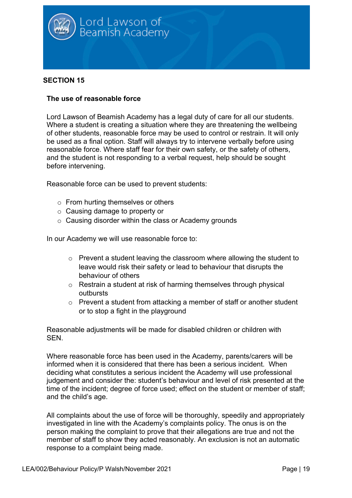

#### **The use of reasonable force**

Lord Lawson of Beamish Academy has a legal duty of care for all our students. Where a student is creating a situation where they are threatening the wellbeing of other students, reasonable force may be used to control or restrain. It will only be used as a final option. Staff will always try to intervene verbally before using reasonable force. Where staff fear for their own safety, or the safety of others, and the student is not responding to a verbal request, help should be sought before intervening.

Reasonable force can be used to prevent students:

- o From hurting themselves or others
- o Causing damage to property or
- $\circ$  Causing disorder within the class or Academy grounds

In our Academy we will use reasonable force to:

- o Prevent a student leaving the classroom where allowing the student to leave would risk their safety or lead to behaviour that disrupts the behaviour of others
- o Restrain a student at risk of harming themselves through physical outbursts
- o Prevent a student from attacking a member of staff or another student or to stop a fight in the playground

Reasonable adjustments will be made for disabled children or children with SEN.

Where reasonable force has been used in the Academy, parents/carers will be informed when it is considered that there has been a serious incident. When deciding what constitutes a serious incident the Academy will use professional judgement and consider the: student's behaviour and level of risk presented at the time of the incident; degree of force used; effect on the student or member of staff; and the child's age.

All complaints about the use of force will be thoroughly, speedily and appropriately investigated in line with the Academy's complaints policy. The onus is on the person making the complaint to prove that their allegations are true and not the member of staff to show they acted reasonably. An exclusion is not an automatic response to a complaint being made.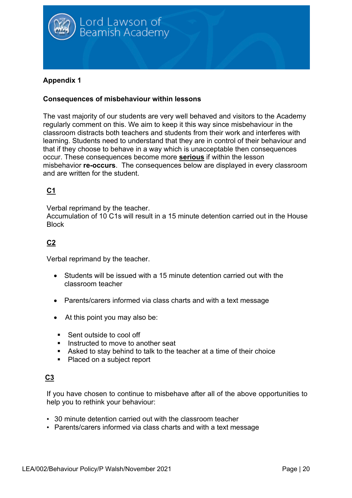

## **Appendix 1**

#### **Consequences of misbehaviour within lessons**

The vast majority of our students are very well behaved and visitors to the Academy regularly comment on this. We aim to keep it this way since misbehaviour in the classroom distracts both teachers and students from their work and interferes with learning. Students need to understand that they are in control of their behaviour and that if they choose to behave in a way which is unacceptable then consequences occur. These consequences become more **serious** if within the lesson misbehavior **re-occurs**. The consequences below are displayed in every classroom and are written for the student.

# **C1**

Verbal reprimand by the teacher.

Accumulation of 10 C1s will result in a 15 minute detention carried out in the House **Block** 

# **C2**

Verbal reprimand by the teacher.

- Students will be issued with a 15 minute detention carried out with the classroom teacher
- Parents/carers informed via class charts and with a text message
- At this point you may also be:
- Sent outside to cool off
- Instructed to move to another seat
- Asked to stay behind to talk to the teacher at a time of their choice
- Placed on a subject report

# **C3**

If you have chosen to continue to misbehave after all of the above opportunities to help you to rethink your behaviour:

- 30 minute detention carried out with the classroom teacher
- Parents/carers informed via class charts and with a text message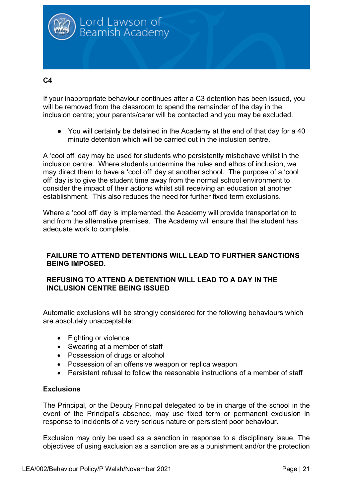

# **C4**

If your inappropriate behaviour continues after a C3 detention has been issued, you will be removed from the classroom to spend the remainder of the day in the inclusion centre; your parents/carer will be contacted and you may be excluded.

● You will certainly be detained in the Academy at the end of that day for a 40 minute detention which will be carried out in the inclusion centre.

A 'cool off' day may be used for students who persistently misbehave whilst in the inclusion centre. Where students undermine the rules and ethos of inclusion, we may direct them to have a 'cool off' day at another school. The purpose of a 'cool off' day is to give the student time away from the normal school environment to consider the impact of their actions whilst still receiving an education at another establishment. This also reduces the need for further fixed term exclusions.

Where a 'cool off' day is implemented, the Academy will provide transportation to and from the alternative premises. The Academy will ensure that the student has adequate work to complete.

#### **FAILURE TO ATTEND DETENTIONS WILL LEAD TO FURTHER SANCTIONS BEING IMPOSED.**

#### **REFUSING TO ATTEND A DETENTION WILL LEAD TO A DAY IN THE INCLUSION CENTRE BEING ISSUED**

Automatic exclusions will be strongly considered for the following behaviours which are absolutely unacceptable:

- Fighting or violence
- Swearing at a member of staff
- Possession of drugs or alcohol
- Possession of an offensive weapon or replica weapon
- Persistent refusal to follow the reasonable instructions of a member of staff

#### **Exclusions**

The Principal, or the Deputy Principal delegated to be in charge of the school in the event of the Principal's absence, may use fixed term or permanent exclusion in response to incidents of a very serious nature or persistent poor behaviour.

Exclusion may only be used as a sanction in response to a disciplinary issue. The objectives of using exclusion as a sanction are as a punishment and/or the protection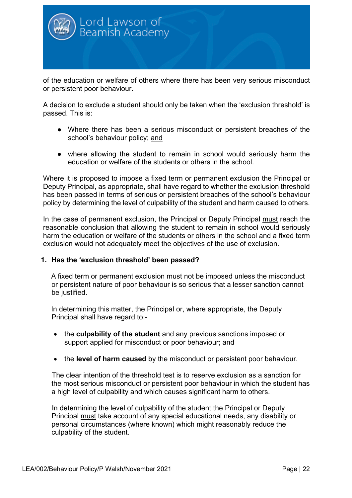

of the education or welfare of others where there has been very serious misconduct or persistent poor behaviour.

A decision to exclude a student should only be taken when the 'exclusion threshold' is passed. This is:

- Where there has been a serious misconduct or persistent breaches of the school's behaviour policy; and
- where allowing the student to remain in school would seriously harm the education or welfare of the students or others in the school.

Where it is proposed to impose a fixed term or permanent exclusion the Principal or Deputy Principal, as appropriate, shall have regard to whether the exclusion threshold has been passed in terms of serious or persistent breaches of the school's behaviour policy by determining the level of culpability of the student and harm caused to others.

In the case of permanent exclusion, the Principal or Deputy Principal must reach the reasonable conclusion that allowing the student to remain in school would seriously harm the education or welfare of the students or others in the school and a fixed term exclusion would not adequately meet the objectives of the use of exclusion.

#### **1. Has the 'exclusion threshold' been passed?**

A fixed term or permanent exclusion must not be imposed unless the misconduct or persistent nature of poor behaviour is so serious that a lesser sanction cannot be justified.

In determining this matter, the Principal or, where appropriate, the Deputy Principal shall have regard to:-

- the **culpability of the student** and any previous sanctions imposed or support applied for misconduct or poor behaviour; and
- the **level of harm caused** by the misconduct or persistent poor behaviour.

The clear intention of the threshold test is to reserve exclusion as a sanction for the most serious misconduct or persistent poor behaviour in which the student has a high level of culpability and which causes significant harm to others.

In determining the level of culpability of the student the Principal or Deputy Principal must take account of any special educational needs, any disability or personal circumstances (where known) which might reasonably reduce the culpability of the student.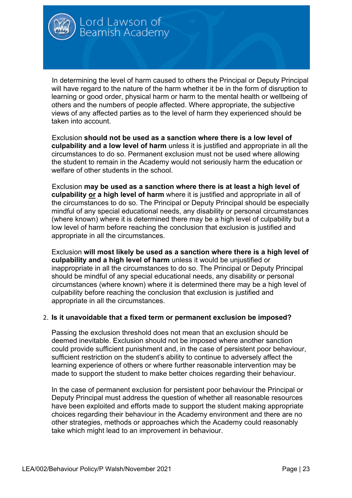

In determining the level of harm caused to others the Principal or Deputy Principal will have regard to the nature of the harm whether it be in the form of disruption to learning or good order, physical harm or harm to the mental health or wellbeing of others and the numbers of people affected. Where appropriate, the subjective views of any affected parties as to the level of harm they experienced should be taken into account.

Exclusion **should not be used as a sanction where there is a low level of culpability and a low level of harm** unless it is justified and appropriate in all the circumstances to do so. Permanent exclusion must not be used where allowing the student to remain in the Academy would not seriously harm the education or welfare of other students in the school.

Exclusion **may be used as a sanction where there is at least a high level of culpability or a high level of harm** where it is justified and appropriate in all of the circumstances to do so. The Principal or Deputy Principal should be especially mindful of any special educational needs, any disability or personal circumstances (where known) where it is determined there may be a high level of culpability but a low level of harm before reaching the conclusion that exclusion is justified and appropriate in all the circumstances.

Exclusion **will most likely be used as a sanction where there is a high level of culpability and a high level of harm** unless it would be unjustified or inappropriate in all the circumstances to do so. The Principal or Deputy Principal should be mindful of any special educational needs, any disability or personal circumstances (where known) where it is determined there may be a high level of culpability before reaching the conclusion that exclusion is justified and appropriate in all the circumstances.

#### 2. **Is it unavoidable that a fixed term or permanent exclusion be imposed?**

Passing the exclusion threshold does not mean that an exclusion should be deemed inevitable. Exclusion should not be imposed where another sanction could provide sufficient punishment and, in the case of persistent poor behaviour, sufficient restriction on the student's ability to continue to adversely affect the learning experience of others or where further reasonable intervention may be made to support the student to make better choices regarding their behaviour.

In the case of permanent exclusion for persistent poor behaviour the Principal or Deputy Principal must address the question of whether all reasonable resources have been exploited and efforts made to support the student making appropriate choices regarding their behaviour in the Academy environment and there are no other strategies, methods or approaches which the Academy could reasonably take which might lead to an improvement in behaviour.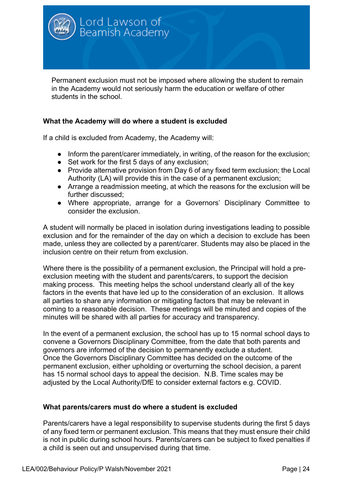

Permanent exclusion must not be imposed where allowing the student to remain in the Academy would not seriously harm the education or welfare of other students in the school.

#### **What the Academy will do where a student is excluded**

If a child is excluded from Academy, the Academy will:

- Inform the parent/carer immediately, in writing, of the reason for the exclusion;
- Set work for the first 5 days of any exclusion;
- Provide alternative provision from Day 6 of any fixed term exclusion; the Local Authority (LA) will provide this in the case of a permanent exclusion;
- Arrange a readmission meeting, at which the reasons for the exclusion will be further discussed;
- Where appropriate, arrange for a Governors' Disciplinary Committee to consider the exclusion.

A student will normally be placed in isolation during investigations leading to possible exclusion and for the remainder of the day on which a decision to exclude has been made, unless they are collected by a parent/carer. Students may also be placed in the inclusion centre on their return from exclusion.

Where there is the possibility of a permanent exclusion, the Principal will hold a preexclusion meeting with the student and parents/carers, to support the decision making process. This meeting helps the school understand clearly all of the key factors in the events that have led up to the consideration of an exclusion. It allows all parties to share any information or mitigating factors that may be relevant in coming to a reasonable decision. These meetings will be minuted and copies of the minutes will be shared with all parties for accuracy and transparency.

In the event of a permanent exclusion, the school has up to 15 normal school days to convene a Governors Disciplinary Committee, from the date that both parents and governors are informed of the decision to permanently exclude a student. Once the Governors Disciplinary Committee has decided on the outcome of the permanent exclusion, either upholding or overturning the school decision, a parent has 15 normal school days to appeal the decision. N.B. Time scales may be adjusted by the Local Authority/DfE to consider external factors e.g. COVID.

#### **What parents/carers must do where a student is excluded**

Parents/carers have a legal responsibility to supervise students during the first 5 days of any fixed term or permanent exclusion. This means that they must ensure their child is not in public during school hours. Parents/carers can be subject to fixed penalties if a child is seen out and unsupervised during that time.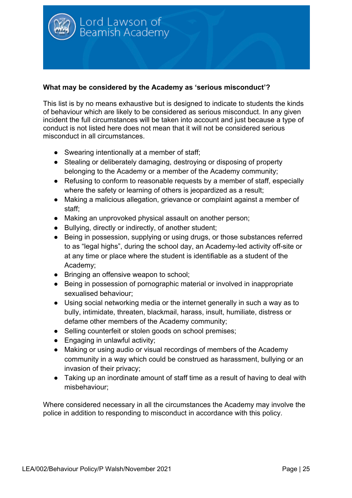

#### **What may be considered by the Academy as 'serious misconduct'?**

This list is by no means exhaustive but is designed to indicate to students the kinds of behaviour which are likely to be considered as serious misconduct. In any given incident the full circumstances will be taken into account and just because a type of conduct is not listed here does not mean that it will not be considered serious misconduct in all circumstances.

- Swearing intentionally at a member of staff;
- Stealing or deliberately damaging, destroying or disposing of property belonging to the Academy or a member of the Academy community;
- Refusing to conform to reasonable requests by a member of staff, especially where the safety or learning of others is jeopardized as a result;
- Making a malicious allegation, grievance or complaint against a member of staff;
- Making an unprovoked physical assault on another person;
- Bullying, directly or indirectly, of another student;
- Being in possession, supplying or using drugs, or those substances referred to as "legal highs", during the school day, an Academy-led activity off-site or at any time or place where the student is identifiable as a student of the Academy;
- Bringing an offensive weapon to school;
- Being in possession of pornographic material or involved in inappropriate sexualised behaviour;
- Using social networking media or the internet generally in such a way as to bully, intimidate, threaten, blackmail, harass, insult, humiliate, distress or defame other members of the Academy community;
- Selling counterfeit or stolen goods on school premises;
- Engaging in unlawful activity;
- Making or using audio or visual recordings of members of the Academy community in a way which could be construed as harassment, bullying or an invasion of their privacy;
- Taking up an inordinate amount of staff time as a result of having to deal with misbehaviour;

Where considered necessary in all the circumstances the Academy may involve the police in addition to responding to misconduct in accordance with this policy.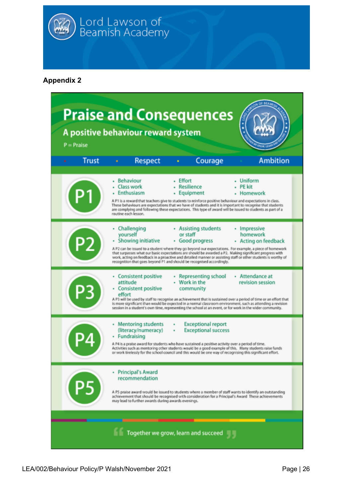

Lord Lawson of<br>Beamish Academy